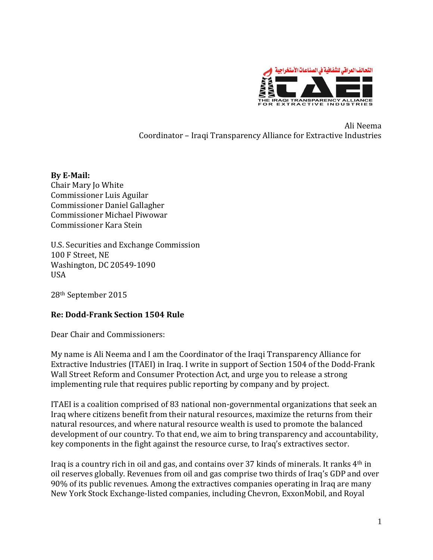

Ali Neema Coordinator – Iraqi Transparency Alliance for Extractive Industries

## **By E-Mail:**

Chair Mary Jo White Commissioner Luis Aguilar Commissioner Daniel Gallagher Commissioner Michael Piwowar Commissioner Kara Stein

U.S. Securities and Exchange Commission 100 F Street, NE Washington, DC 20549-1090 USA

28th September 2015

## **Re: Dodd-Frank Section 1504 Rule**

Dear Chair and Commissioners:

My name is Ali Neema and I am the Coordinator of the Iraqi Transparency Alliance for Extractive Industries (ITAEI) in Iraq. I write in support of Section 1504 of the Dodd-Frank Wall Street Reform and Consumer Protection Act, and urge you to release a strong implementing rule that requires public reporting by company and by project.

ITAEI is a coalition comprised of 83 national non-governmental organizations that seek an Iraq where citizens benefit from their natural resources, maximize the returns from their natural resources, and where natural resource wealth is used to promote the balanced development of our country. To that end, we aim to bring transparency and accountability, key components in the fight against the resource curse, to Iraq's extractives sector.

Iraq is a country rich in oil and gas, and contains over 37 kinds of minerals. It ranks 4th in oil reserves globally. Revenues from oil and gas comprise two thirds of Iraq's GDP and over 90% of its public revenues. Among the extractives companies operating in Iraq are many New York Stock Exchange-listed companies, including Chevron, ExxonMobil, and Royal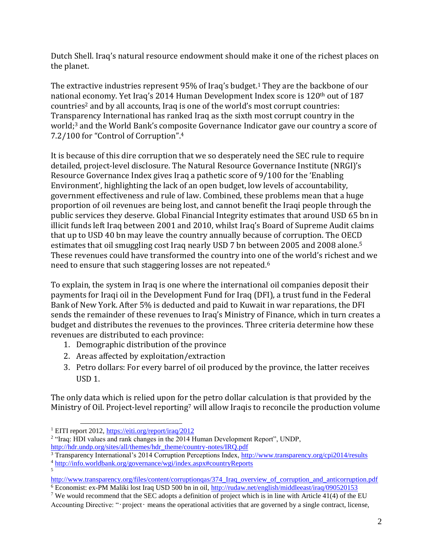Dutch Shell. Iraq's natural resource endowment should make it one of the richest places on the planet.

The extractive industries represent 95% of Iraq's budget. <sup>1</sup> They are the backbone of our national economy. Yet Iraq's 2014 Human Development Index score is 120<sup>th</sup> out of 187 countries<sup>2</sup> and by all accounts, Iraq is one of the world's most corrupt countries: Transparency International has ranked Iraq as the sixth most corrupt country in the world; <sup>3</sup> and the World Bank's composite Governance Indicator gave our country a score of 7.2/100 for "Control of Corruption". 4

It is because of this dire corruption that we so desperately need the SEC rule to require detailed, project-level disclosure. The Natural Resource Governance Institute (NRGI)'s Resource Governance Index gives Iraq a pathetic score of 9/100 for the 'Enabling Environment', highlighting the lack of an open budget, low levels of accountability, government effectiveness and rule of law. Combined, these problems mean that a huge proportion of oil revenues are being lost, and cannot benefit the Iraqi people through the public services they deserve. Global Financial Integrity estimates that around USD 65 bn in illicit funds left Iraq between 2001 and 2010, whilst Iraq's Board of Supreme Audit claims that up to USD 40 bn may leave the country annually because of corruption. The OECD estimates that oil smuggling cost Iraq nearly USD 7 bn between 2005 and 2008 alone.<sup>5</sup> These revenues could have transformed the country into one of the world's richest and we need to ensure that such staggering losses are not repeated.<sup>6</sup>

To explain, the system in Iraq is one where the international oil companies deposit their payments for Iraqi oil in the Development Fund for Iraq (DFI), a trust fund in the Federal Bank of New York. After 5% is deducted and paid to Kuwait in war reparations, the DFI sends the remainder of these revenues to Iraq's Ministry of Finance, which in turn creates a budget and distributes the revenues to the provinces. Three criteria determine how these revenues are distributed to each province:

- 1. Demographic distribution of the province
- 2. Areas affected by exploitation/extraction
- 3. Petro dollars: For every barrel of oil produced by the province, the latter receives USD 1.

The only data which is relied upon for the petro dollar calculation is that provided by the Ministry of Oil. Project-level reporting<sup>7</sup> will allow Iraqis to reconcile the production volume

l

<sup>1</sup> EITI report 2012,<https://eiti.org/report/iraq/2012>

<sup>&</sup>lt;sup>2</sup> "Iraq: HDI values and rank changes in the 2014 Human Development Report", UNDP, [http://hdr.undp.org/sites/all/themes/hdr\\_theme/country-notes/IRQ.pdf](http://hdr.undp.org/sites/all/themes/hdr_theme/country-notes/IRQ.pdf)

<sup>&</sup>lt;sup>3</sup> Transparency International's 2014 Corruption Perceptions Index,<http://www.transparency.org/cpi2014/results> <sup>4</sup> <http://info.worldbank.org/governance/wgi/index.aspx#countryReports>

<sup>5</sup>

http://www.transparency.org/files/content/corruptionqas/374 Iraq\_overview\_of\_corruption\_and\_anticorruption.pdf <sup>6</sup> Economist: ex-PM Maliki lost Iraq USD 500 bn in oil[, http://rudaw.net/english/middleeast/iraq/090520153](http://rudaw.net/english/middleeast/iraq/090520153)

<sup>&</sup>lt;sup>7</sup> We would recommend that the SEC adopts a definition of project which is in line with Article 41(4) of the EU Accounting Directive: "•project• means the operational activities that are governed by a single contract, license,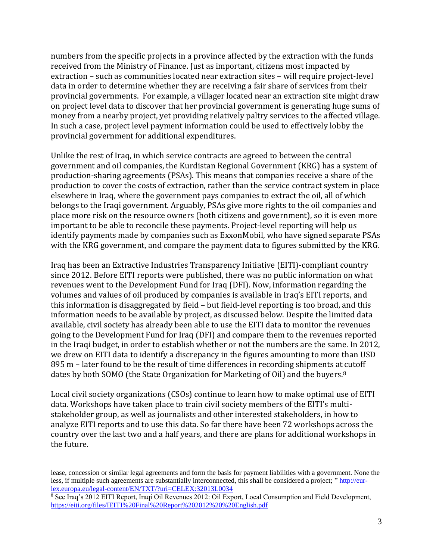numbers from the specific projects in a province affected by the extraction with the funds received from the Ministry of Finance. Just as important, citizens most impacted by extraction – such as communities located near extraction sites – will require project-level data in order to determine whether they are receiving a fair share of services from their provincial governments. For example, a villager located near an extraction site might draw on project level data to discover that her provincial government is generating huge sums of money from a nearby project, yet providing relatively paltry services to the affected village. In such a case, project level payment information could be used to effectively lobby the provincial government for additional expenditures.

Unlike the rest of Iraq, in which service contracts are agreed to between the central government and oil companies, the Kurdistan Regional Government (KRG) has a system of production-sharing agreements (PSAs). This means that companies receive a share of the production to cover the costs of extraction, rather than the service contract system in place elsewhere in Iraq, where the government pays companies to extract the oil, all of which belongs to the Iraqi government. Arguably, PSAs give more rights to the oil companies and place more risk on the resource owners (both citizens and government), so it is even more important to be able to reconcile these payments. Project-level reporting will help us identify payments made by companies such as ExxonMobil, who have signed separate PSAs with the KRG government, and compare the payment data to figures submitted by the KRG.

Iraq has been an Extractive Industries Transparency Initiative (EITI)-compliant country since 2012. Before EITI reports were published, there was no public information on what revenues went to the Development Fund for Iraq (DFI). Now, information regarding the volumes and values of oil produced by companies is available in Iraq's EITI reports, and this information is disaggregated by field – but field-level reporting is too broad, and this information needs to be available by project, as discussed below. Despite the limited data available, civil society has already been able to use the EITI data to monitor the revenues going to the Development Fund for Iraq (DFI) and compare them to the revenues reported in the Iraqi budget, in order to establish whether or not the numbers are the same. In 2012, we drew on EITI data to identify a discrepancy in the figures amounting to more than USD 895 m – later found to be the result of time differences in recording shipments at cutoff dates by both SOMO (the State Organization for Marketing of Oil) and the buyers.<sup>8</sup>

Local civil society organizations (CSOs) continue to learn how to make optimal use of EITI data. Workshops have taken place to train civil society members of the EITI's multistakeholder group, as well as journalists and other interested stakeholders, in how to analyze EITI reports and to use this data. So far there have been 72 workshops across the country over the last two and a half years, and there are plans for additional workshops in the future.

l

lease, concession or similar legal agreements and form the basis for payment liabilities with a government. None the less, if multiple such agreements are substantially interconnected, this shall be considered a project; " [http://eur](http://eur-lex.europa.eu/legal-content/EN/TXT/?uri=CELEX:32013L0034)[lex.europa.eu/legal-content/EN/TXT/?uri=CELEX:32013L0034](http://eur-lex.europa.eu/legal-content/EN/TXT/?uri=CELEX:32013L0034)

<sup>8</sup> See Iraq's 2012 EITI Report, Iraqi Oil Revenues 2012: Oil Export, Local Consumption and Field Development, <https://eiti.org/files/IEITI%20Final%20Report%202012%20%20English.pdf>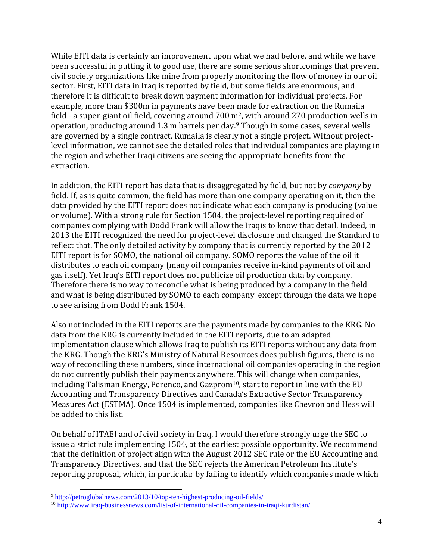While EITI data is certainly an improvement upon what we had before, and while we have been successful in putting it to good use, there are some serious shortcomings that prevent civil society organizations like mine from properly monitoring the flow of money in our oil sector. First, EITI data in Iraq is reported by field, but some fields are enormous, and therefore it is difficult to break down payment information for individual projects. For example, more than \$300m in payments have been made for extraction on the Rumaila field - a super-giant oil field, covering around 700 m<sup>2</sup>, with around 270 production wells in operation, producing around 1.3 m barrels per day. <sup>9</sup> Though in some cases, several wells are governed by a single contract, Rumaila is clearly not a single project. Without projectlevel information, we cannot see the detailed roles that individual companies are playing in the region and whether Iraqi citizens are seeing the appropriate benefits from the extraction.

In addition, the EITI report has data that is disaggregated by field, but not by *company* by field. If, as is quite common, the field has more than one company operating on it, then the data provided by the EITI report does not indicate what each company is producing (value or volume). With a strong rule for Section 1504, the project-level reporting required of companies complying with Dodd Frank will allow the Iraqis to know that detail. Indeed, in 2013 the EITI recognized the need for project-level disclosure and changed the Standard to reflect that. The only detailed activity by company that is currently reported by the 2012 EITI report is for SOMO, the national oil company. SOMO reports the value of the oil it distributes to each oil company (many oil companies receive in-kind payments of oil and gas itself). Yet Iraq's EITI report does not publicize oil production data by company. Therefore there is no way to reconcile what is being produced by a company in the field and what is being distributed by SOMO to each company except through the data we hope to see arising from Dodd Frank 1504.

Also not included in the EITI reports are the payments made by companies to the KRG. No data from the KRG is currently included in the EITI reports, due to an adapted implementation clause which allows Iraq to publish its EITI reports without any data from the KRG. Though the KRG's Ministry of Natural Resources does publish figures, there is no way of reconciling these numbers, since international oil companies operating in the region do not currently publish their payments anywhere. This will change when companies, including Talisman Energy, Perenco, and Gazprom<sup>10</sup>, start to report in line with the EU Accounting and Transparency Directives and Canada's Extractive Sector Transparency Measures Act (ESTMA). Once 1504 is implemented, companies like Chevron and Hess will be added to this list.

On behalf of ITAEI and of civil society in Iraq, I would therefore strongly urge the SEC to issue a strict rule implementing 1504, at the earliest possible opportunity. We recommend that the definition of project align with the August 2012 SEC rule or the EU Accounting and Transparency Directives, and that the SEC rejects the American Petroleum Institute's reporting proposal, which, in particular by failing to identify which companies made which

l

<sup>&</sup>lt;sup>9</sup> <http://petroglobalnews.com/2013/10/top-ten-highest-producing-oil-fields/>

<sup>10</sup> <http://www.iraq-businessnews.com/list-of-international-oil-companies-in-iraqi-kurdistan/>